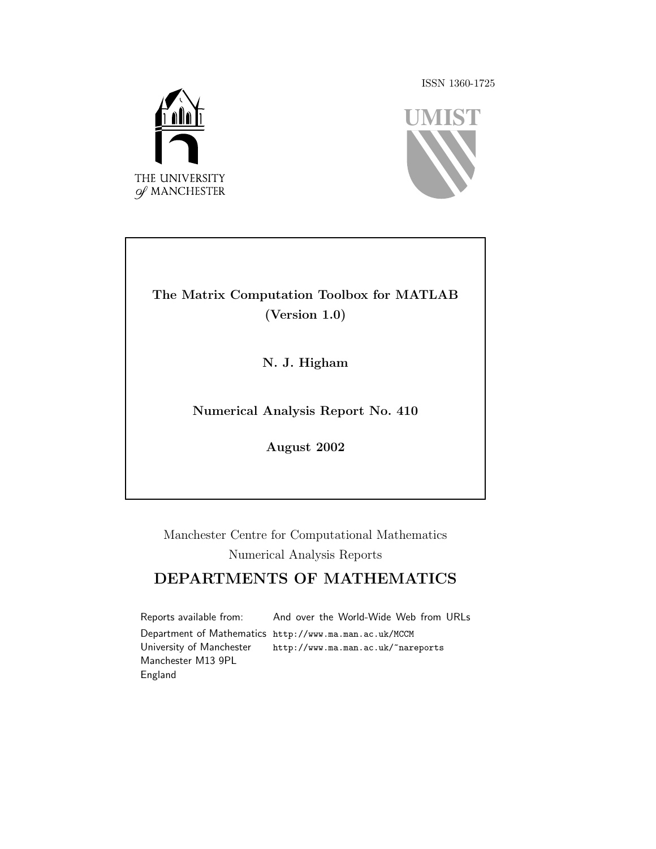ISSN 1360-1725





#### The Matrix Computation Toolbox for MATLAB (Version 1.0)

N. J. Higham

Numerical Analysis Report No. 410

August 2002

Manchester Centre for Computational Mathematics Numerical Analysis Reports

#### DEPARTMENTS OF MATHEMATICS

Reports available from: Department of Mathematics http://www.ma.man.ac.uk/MCCM University of Manchester Manchester M13 9PL England And over the World-Wide Web from URLs http://www.ma.man.ac.uk/~nareports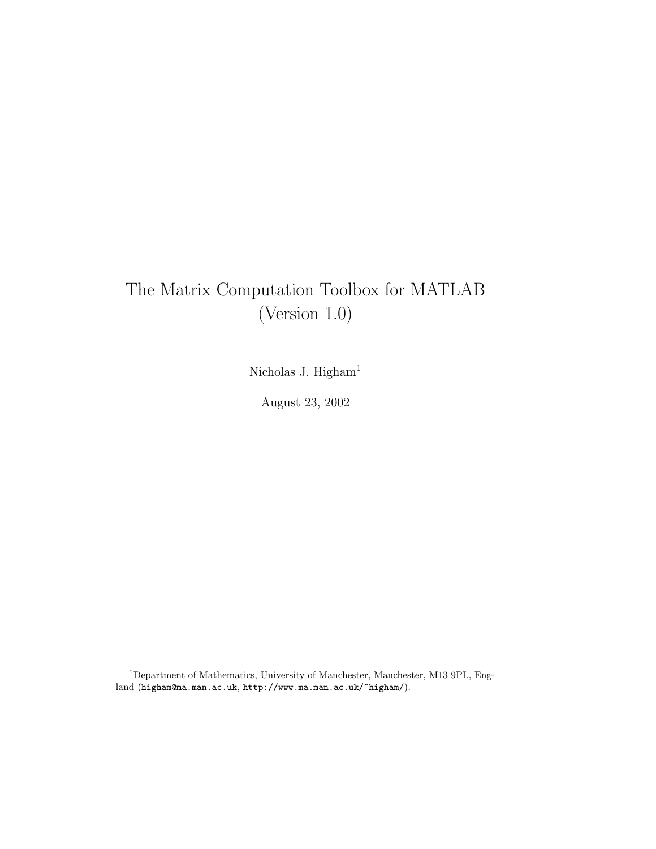# The Matrix Computation Toolbox for MATLAB (Version 1.0)

Nicholas J. Higham<sup>1</sup>

August 23, 2002

<sup>1</sup>Department of Mathematics, University of Manchester, Manchester, M13 9PL, England (higham@ma.man.ac.uk, http://www.ma.man.ac.uk/~higham/).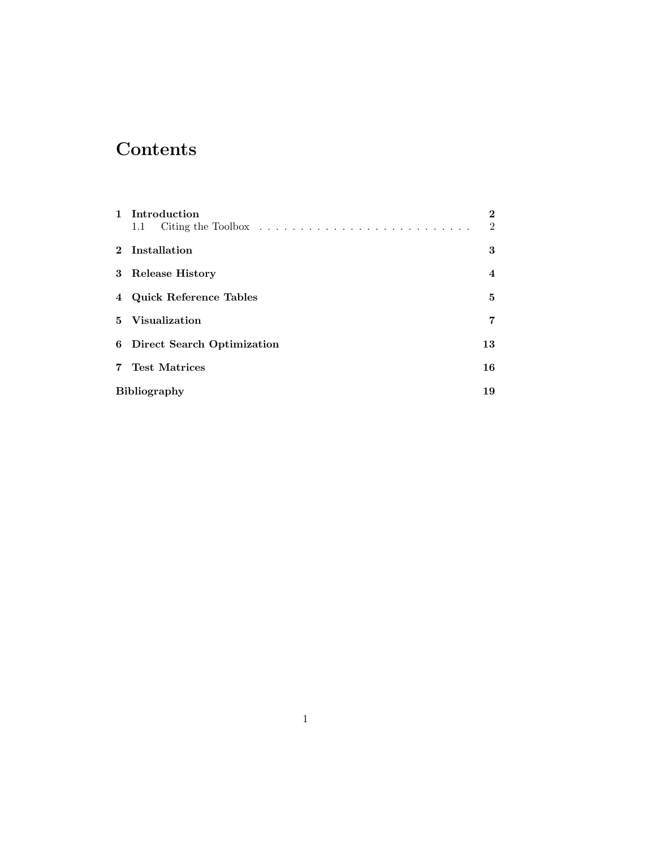# **Contents**

|                | 1 Introduction<br>1.1        | $\bf{2}$<br>$\mathfrak{D}$ |
|----------------|------------------------------|----------------------------|
|                | 2 Installation               | 3                          |
|                | 3 Release History            | $\overline{4}$             |
|                | 4 Quick Reference Tables     | 5                          |
|                | 5 Visualization              | 7                          |
|                | 6 Direct Search Optimization | 13                         |
| $\overline{7}$ | <b>Test Matrices</b>         | 16                         |
|                | <b>Bibliography</b>          | 19                         |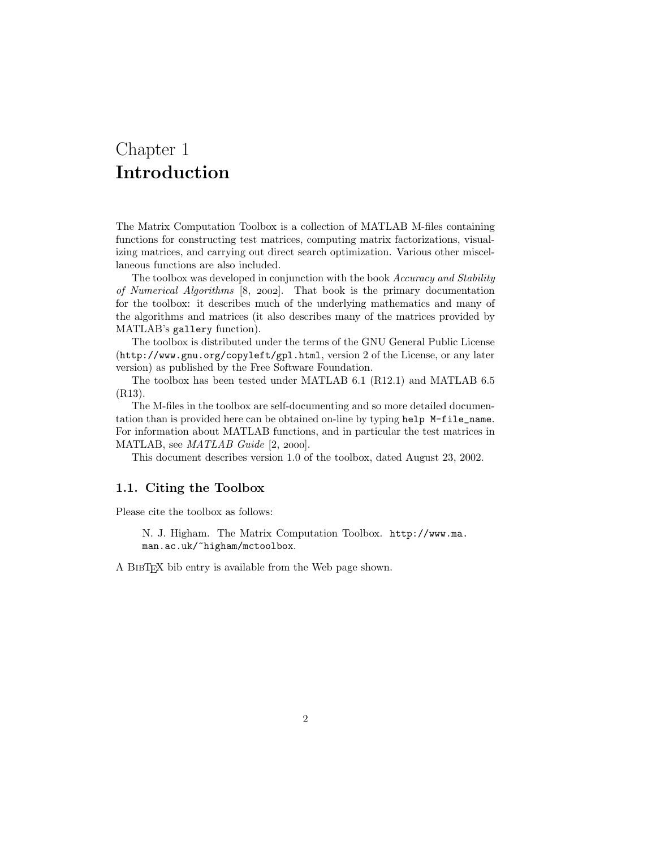## Chapter 1 Introduction

The Matrix Computation Toolbox is a collection of MATLAB M-files containing functions for constructing test matrices, computing matrix factorizations, visualizing matrices, and carrying out direct search optimization. Various other miscellaneous functions are also included.

The toolbox was developed in conjunction with the book Accuracy and Stability of Numerical Algorithms  $[8, 2002]$ . That book is the primary documentation for the toolbox: it describes much of the underlying mathematics and many of the algorithms and matrices (it also describes many of the matrices provided by MATLAB's gallery function).

The toolbox is distributed under the terms of the GNU General Public License (http://www.gnu.org/copyleft/gpl.html, version 2 of the License, or any later version) as published by the Free Software Foundation.

The toolbox has been tested under MATLAB 6.1 (R12.1) and MATLAB 6.5 (R13).

The M-files in the toolbox are self-documenting and so more detailed documentation than is provided here can be obtained on-line by typing help M-file\_name. For information about MATLAB functions, and in particular the test matrices in MATLAB, see  $MATLAB$  Guide  $[2, 2000]$ .

This document describes version 1.0 of the toolbox, dated August 23, 2002.

#### 1.1. Citing the Toolbox

Please cite the toolbox as follows:

N. J. Higham. The Matrix Computation Toolbox. http://www.ma. man.ac.uk/~higham/mctoolbox.

A BIBT<sub>EX</sub> bib entry is available from the Web page shown.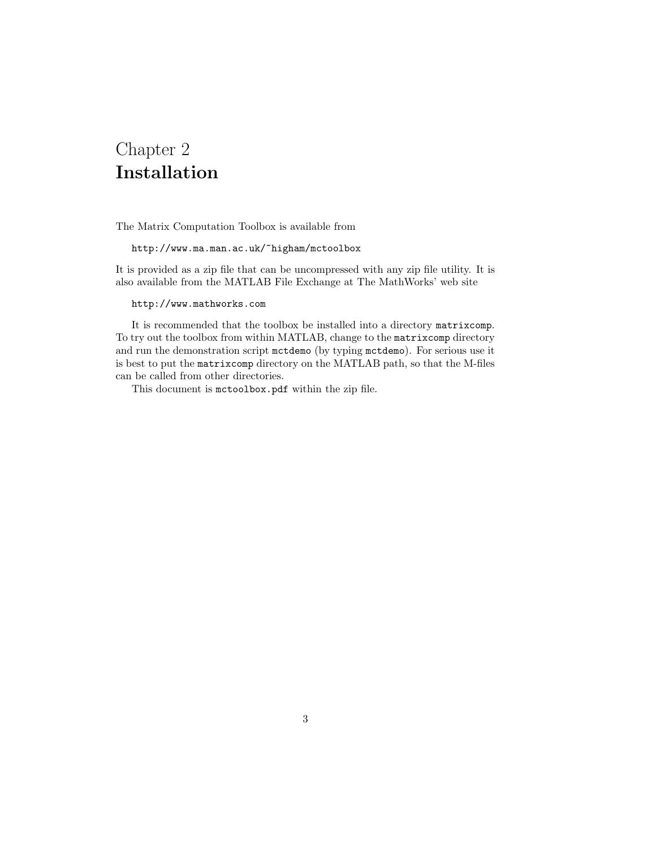## Chapter 2 Installation

The Matrix Computation Toolbox is available from

http://www.ma.man.ac.uk/~higham/mctoolbox

It is provided as a zip file that can be uncompressed with any zip file utility. It is also available from the MATLAB File Exchange at The MathWorks' web site

http://www.mathworks.com

It is recommended that the toolbox be installed into a directory matrixcomp. To try out the toolbox from within MATLAB, change to the matrixcomp directory and run the demonstration script mctdemo (by typing mctdemo). For serious use it is best to put the matrixcomp directory on the MATLAB path, so that the M-files can be called from other directories.

This document is mctoolbox.pdf within the zip file.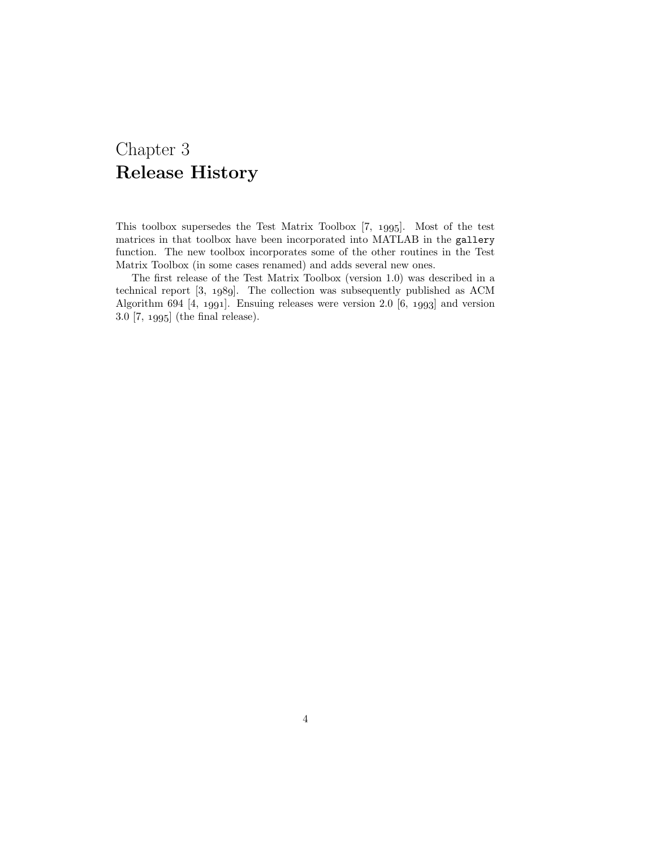## Chapter 3 Release History

This toolbox supersedes the Test Matrix Toolbox [7, 1995]. Most of the test matrices in that toolbox have been incorporated into MATLAB in the gallery function. The new toolbox incorporates some of the other routines in the Test Matrix Toolbox (in some cases renamed) and adds several new ones.

The first release of the Test Matrix Toolbox (version 1.0) was described in a technical report  $[3, 1989]$ . The collection was subsequently published as ACM Algorithm 694  $[4, 1991]$ . Ensuing releases were version 2.0  $[6, 1993]$  and version  $3.0$  [7, 1995] (the final release).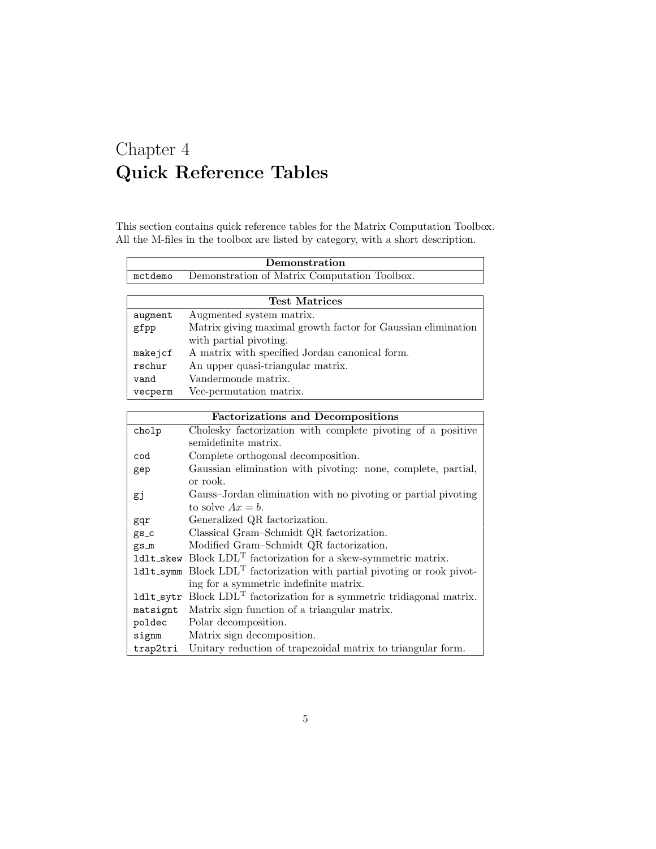# Chapter 4 Quick Reference Tables

Ē

This section contains quick reference tables for the Matrix Computation Toolbox. All the M-files in the toolbox are listed by category, with a short description.

|         | Demonstration                                                |
|---------|--------------------------------------------------------------|
| mctdemo | Demonstration of Matrix Computation Toolbox.                 |
|         |                                                              |
|         | <b>Test Matrices</b>                                         |
| augment | Augmented system matrix.                                     |
| gfpp    | Matrix giving maximal growth factor for Gaussian elimination |
|         | with partial pivoting.                                       |
| makejcf | A matrix with specified Jordan canonical form.               |
| rschur  | An upper quasi-triangular matrix.                            |
| vand    | Vandermonde matrix.                                          |
| vecperm | Vec-permutation matrix.                                      |

| <b>Factorizations and Decompositions</b> |                                                                      |  |  |  |  |
|------------------------------------------|----------------------------------------------------------------------|--|--|--|--|
| cholp                                    | Cholesky factorization with complete pivoting of a positive          |  |  |  |  |
|                                          | semidefinite matrix.                                                 |  |  |  |  |
| cod                                      | Complete orthogonal decomposition.                                   |  |  |  |  |
| gep                                      | Gaussian elimination with pivoting: none, complete, partial,         |  |  |  |  |
|                                          | or rook.                                                             |  |  |  |  |
| gj                                       | Gauss-Jordan elimination with no pivoting or partial pivoting        |  |  |  |  |
|                                          | to solve $Ax = b$ .                                                  |  |  |  |  |
| gqr                                      | Generalized QR factorization.                                        |  |  |  |  |
| $gs_c$                                   | Classical Gram-Schmidt QR factorization.                             |  |  |  |  |
| $gs_m$                                   | Modified Gram-Schmidt QR factorization.                              |  |  |  |  |
|                                          | $1$ d1t_skew Block $LDLT$ factorization for a skew-symmetric matrix. |  |  |  |  |
| ldlt_symm                                | Block $LDLT$ factorization with partial pivoting or rook pivot-      |  |  |  |  |
|                                          | ing for a symmetric indefinite matrix.                               |  |  |  |  |
| ldlt_sytr                                | Block $LDLT$ factorization for a symmetric tridiagonal matrix.       |  |  |  |  |
| matsignt                                 | Matrix sign function of a triangular matrix.                         |  |  |  |  |
| poldec                                   | Polar decomposition.                                                 |  |  |  |  |
| signm                                    | Matrix sign decomposition.                                           |  |  |  |  |
| trap2tri                                 | Unitary reduction of trapezoidal matrix to triangular form.          |  |  |  |  |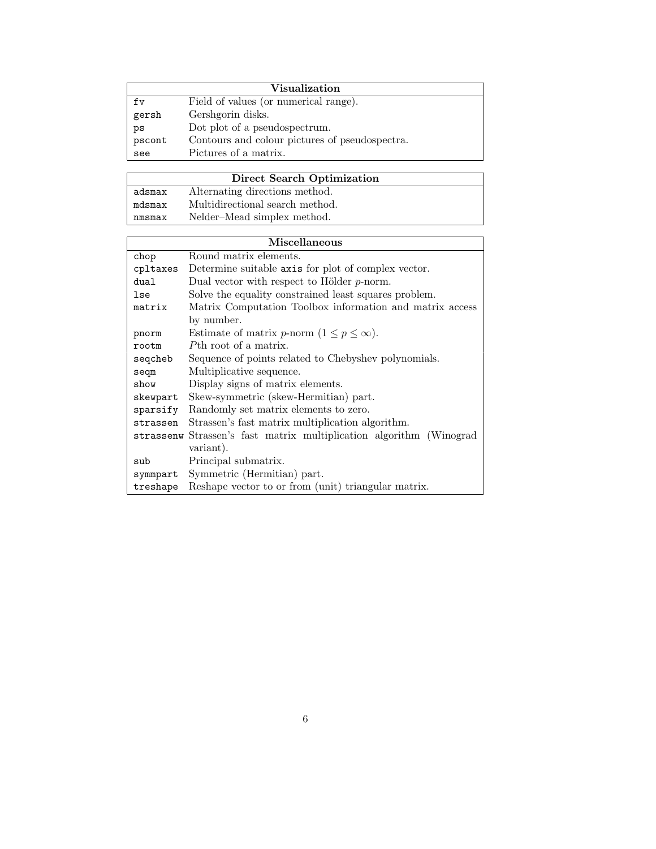|        | Visualization                                  |
|--------|------------------------------------------------|
| fv     | Field of values (or numerical range).          |
| gersh  | Gershgorin disks.                              |
| ps     | Dot plot of a pseudospectrum.                  |
| pscont | Contours and colour pictures of pseudospectra. |
| see    | Pictures of a matrix.                          |

|        | Direct Search Optimization      |
|--------|---------------------------------|
| adsmax | Alternating directions method.  |
| mdsmax | Multidirectional search method. |
| nmsmax | Nelder-Mead simplex method.     |

|                                                                    | <b>Miscellaneous</b>                                                |  |  |
|--------------------------------------------------------------------|---------------------------------------------------------------------|--|--|
| chop                                                               | Round matrix elements.                                              |  |  |
| cpltaxes                                                           | Determine suitable axis for plot of complex vector.                 |  |  |
| dual                                                               | Dual vector with respect to Hölder $p$ -norm.                       |  |  |
| lse                                                                | Solve the equality constrained least squares problem.               |  |  |
| Matrix Computation Toolbox information and matrix access<br>matrix |                                                                     |  |  |
|                                                                    | by number.                                                          |  |  |
| pnorm                                                              | Estimate of matrix <i>p</i> -norm $(1 \le p \le \infty)$ .          |  |  |
| rootm                                                              | Pth root of a matrix.                                               |  |  |
| seqcheb                                                            | Sequence of points related to Chebyshev polynomials.                |  |  |
| seqm                                                               | Multiplicative sequence.                                            |  |  |
| show                                                               | Display signs of matrix elements.                                   |  |  |
| skewpart                                                           | Skew-symmetric (skew-Hermitian) part.                               |  |  |
| sparsify                                                           | Randomly set matrix elements to zero.                               |  |  |
| strassen                                                           | Strassen's fast matrix multiplication algorithm.                    |  |  |
|                                                                    | strassenw Strassen's fast matrix multiplication algorithm (Winograd |  |  |
|                                                                    | variant).                                                           |  |  |
| sub                                                                | Principal submatrix.                                                |  |  |
| symmpart                                                           | Symmetric (Hermitian) part.                                         |  |  |
| treshape                                                           | Reshape vector to or from (unit) triangular matrix.                 |  |  |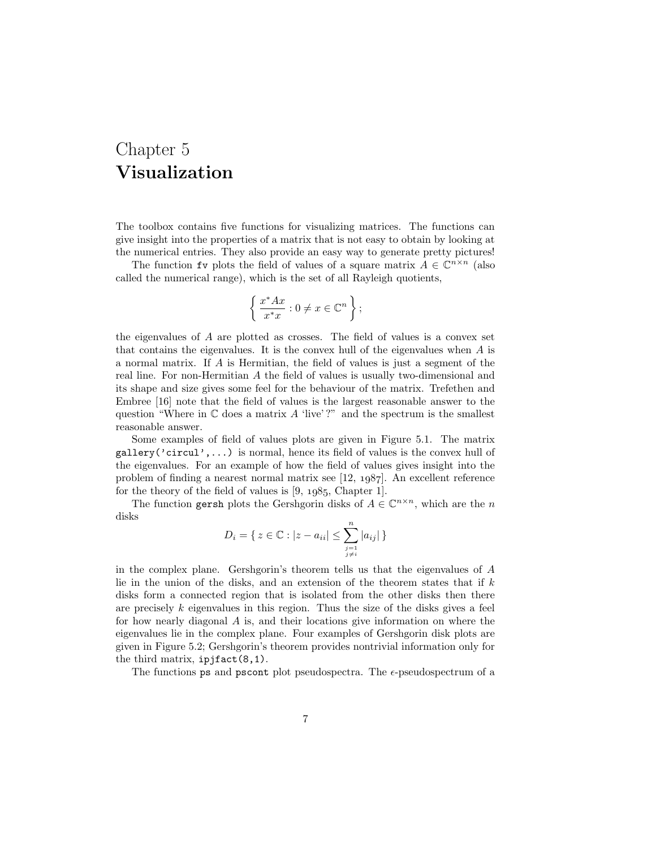## Chapter 5 Visualization

The toolbox contains five functions for visualizing matrices. The functions can give insight into the properties of a matrix that is not easy to obtain by looking at the numerical entries. They also provide an easy way to generate pretty pictures!

The function fv plots the field of values of a square matrix  $A \in \mathbb{C}^{n \times n}$  (also called the numerical range), which is the set of all Rayleigh quotients,

$$
\left\{\frac{x^*Ax}{x^*x} : 0 \neq x \in \mathbb{C}^n\right\};
$$

the eigenvalues of A are plotted as crosses. The field of values is a convex set that contains the eigenvalues. It is the convex hull of the eigenvalues when  $A$  is a normal matrix. If A is Hermitian, the field of values is just a segment of the real line. For non-Hermitian A the field of values is usually two-dimensional and its shape and size gives some feel for the behaviour of the matrix. Trefethen and Embree [16] note that the field of values is the largest reasonable answer to the question "Where in  $\mathbb C$  does a matrix A 'live'?" and the spectrum is the smallest reasonable answer.

Some examples of field of values plots are given in Figure 5.1. The matrix gallery('circul',...) is normal, hence its field of values is the convex hull of the eigenvalues. For an example of how the field of values gives insight into the problem of finding a nearest normal matrix see  $[12, 1987]$ . An excellent reference for the theory of the field of values is  $[9, 1985,$  Chapter 1].

The function gersh plots the Gershgorin disks of  $A \in \mathbb{C}^{n \times n}$ , which are the n disks

$$
D_i = \{ z \in \mathbb{C} : |z - a_{ii}| \le \sum_{\substack{j=1 \ j \neq i}}^n |a_{ij}| \}
$$

in the complex plane. Gershgorin's theorem tells us that the eigenvalues of A lie in the union of the disks, and an extension of the theorem states that if  $k$ disks form a connected region that is isolated from the other disks then there are precisely  $k$  eigenvalues in this region. Thus the size of the disks gives a feel for how nearly diagonal A is, and their locations give information on where the eigenvalues lie in the complex plane. Four examples of Gershgorin disk plots are given in Figure 5.2; Gershgorin's theorem provides nontrivial information only for the third matrix,  $ipifact(8,1)$ .

The functions ps and pscont plot pseudospectra. The  $\epsilon$ -pseudospectrum of a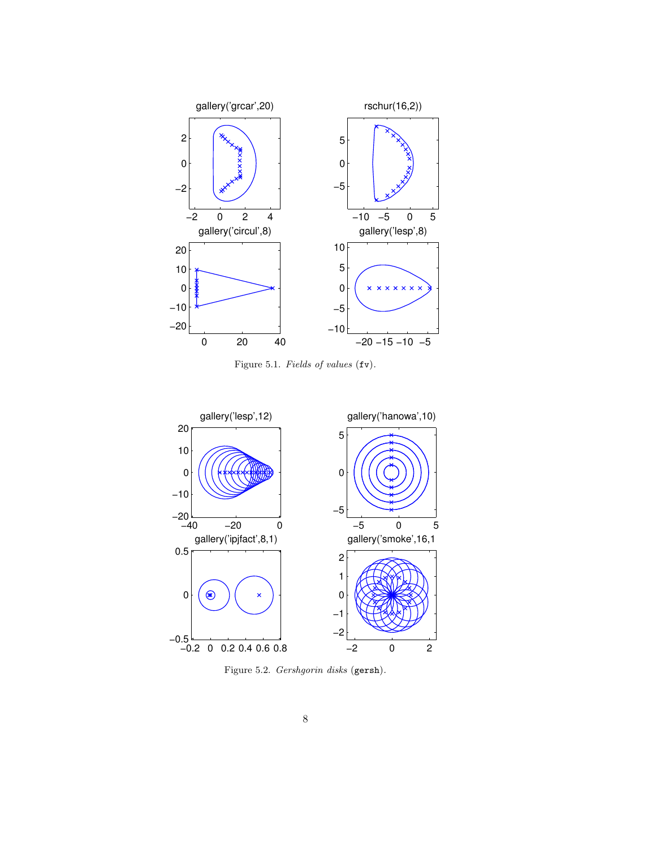

Figure 5.1. Fields of values (fv).



Figure 5.2. Gershgorin disks (gersh).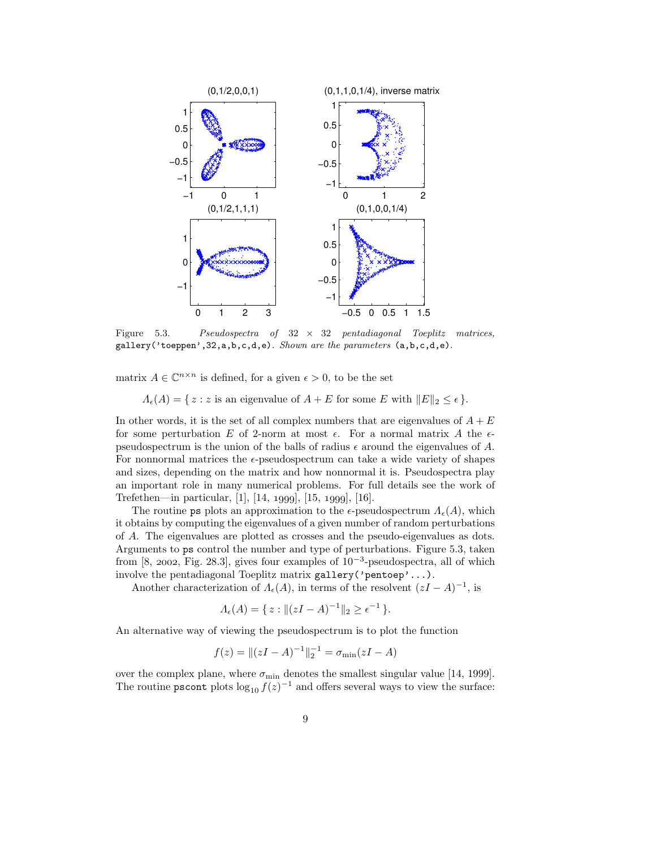

Figure 5.3. Pseudospectra of  $32 \times 32$  pentadiagonal Toeplitz matrices, gallery('toeppen',32,a,b,c,d,e). Shown are the parameters (a,b,c,d,e).

matrix  $A \in \mathbb{C}^{n \times n}$  is defined, for a given  $\epsilon > 0$ , to be the set

 $\Lambda_{\epsilon}(A) = \{ z : z \text{ is an eigenvalue of } A + E \text{ for some } E \text{ with } ||E||_2 \leq \epsilon \}.$ 

In other words, it is the set of all complex numbers that are eigenvalues of  $A + E$ for some perturbation E of 2-norm at most  $\epsilon$ . For a normal matrix A the  $\epsilon$ pseudospectrum is the union of the balls of radius  $\epsilon$  around the eigenvalues of A. For nonnormal matrices the  $\epsilon$ -pseudospectrum can take a wide variety of shapes and sizes, depending on the matrix and how nonnormal it is. Pseudospectra play an important role in many numerical problems. For full details see the work of Trefethen—in particular,  $[1]$ ,  $[14, 1999]$ ,  $[15, 1999]$ ,  $[16]$ .

The routine ps plots an approximation to the  $\epsilon$ -pseudospectrum  $\Lambda_{\epsilon}(A)$ , which it obtains by computing the eigenvalues of a given number of random perturbations of A. The eigenvalues are plotted as crosses and the pseudo-eigenvalues as dots. Arguments to ps control the number and type of perturbations. Figure 5.3, taken from [8, 2002, Fig. 28.3], gives four examples of  $10^{-3}$ -pseudospectra, all of which involve the pentadiagonal Toeplitz matrix gallery('pentoep'...).

Another characterization of  $\Lambda_{\epsilon}(A)$ , in terms of the resolvent  $(zI - A)^{-1}$ , is

$$
\Lambda_{\epsilon}(A) = \{ z : ||(zI - A)^{-1}||_2 \ge \epsilon^{-1} \}.
$$

An alternative way of viewing the pseudospectrum is to plot the function

$$
f(z) = ||(zI - A)^{-1}||_2^{-1} = \sigma_{\min}(zI - A)
$$

over the complex plane, where  $\sigma_{\rm min}$  denotes the smallest singular value [14, 1999]. The routine **pscont** plots  $\log_{10} f(z)^{-1}$  and offers several ways to view the surface: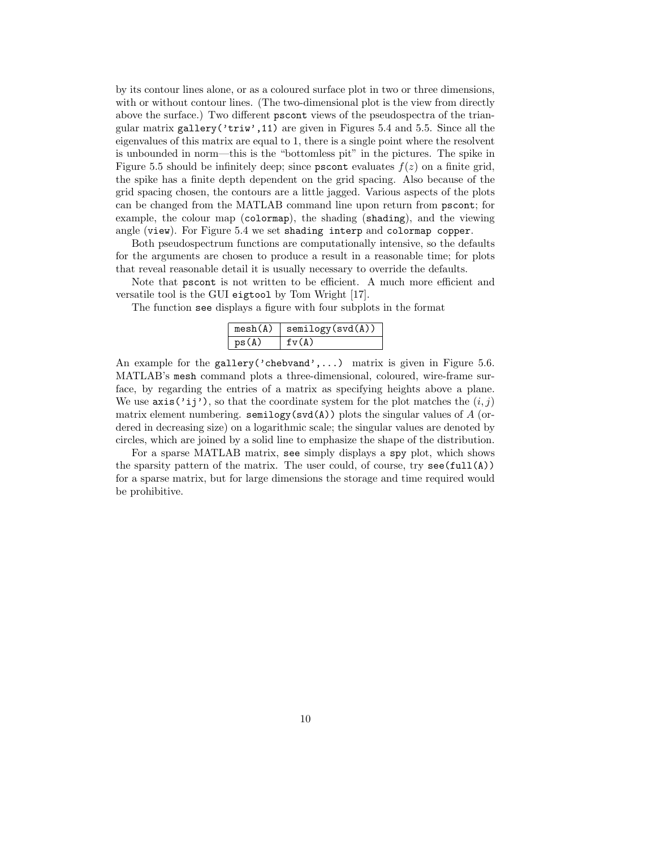by its contour lines alone, or as a coloured surface plot in two or three dimensions, with or without contour lines. (The two-dimensional plot is the view from directly above the surface.) Two different pscont views of the pseudospectra of the triangular matrix gallery('triw',11) are given in Figures 5.4 and 5.5. Since all the eigenvalues of this matrix are equal to 1, there is a single point where the resolvent is unbounded in norm—this is the "bottomless pit" in the pictures. The spike in Figure 5.5 should be infinitely deep; since **pscont** evaluates  $f(z)$  on a finite grid, the spike has a finite depth dependent on the grid spacing. Also because of the grid spacing chosen, the contours are a little jagged. Various aspects of the plots can be changed from the MATLAB command line upon return from pscont; for example, the colour map (colormap), the shading (shading), and the viewing angle (view). For Figure 5.4 we set shading interp and colormap copper.

Both pseudospectrum functions are computationally intensive, so the defaults for the arguments are chosen to produce a result in a reasonable time; for plots that reveal reasonable detail it is usually necessary to override the defaults.

Note that pscont is not written to be efficient. A much more efficient and versatile tool is the GUI eigtool by Tom Wright [17].

The function see displays a figure with four subplots in the format

| mesh(A) | semilogy(svd(A)) |
|---------|------------------|
| ps(A)   | fv(A)            |

An example for the gallery('chebvand',...) matrix is given in Figure 5.6. MATLAB's mesh command plots a three-dimensional, coloured, wire-frame surface, by regarding the entries of a matrix as specifying heights above a plane. We use  $\text{axis}(i'ij')$ , so that the coordinate system for the plot matches the  $(i, j)$ matrix element numbering. semilogy( $\text{svd}(\mathbf{A})$ ) plots the singular values of A (ordered in decreasing size) on a logarithmic scale; the singular values are denoted by circles, which are joined by a solid line to emphasize the shape of the distribution.

For a sparse MATLAB matrix, see simply displays a spy plot, which shows the sparsity pattern of the matrix. The user could, of course, try  $\sec(full(A))$ for a sparse matrix, but for large dimensions the storage and time required would be prohibitive.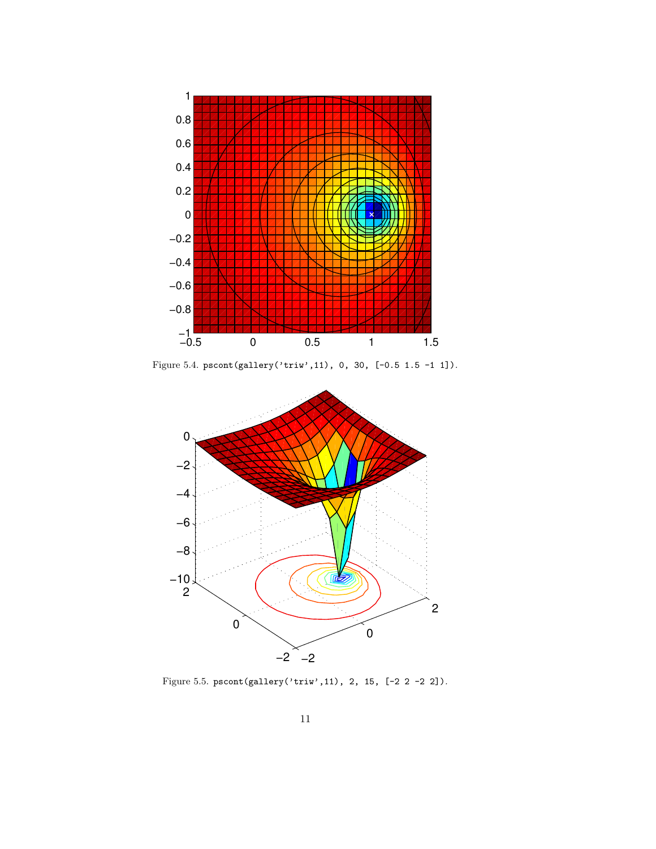

Figure 5.4. pscont(gallery('triw',11), 0, 30, [-0.5 1.5 -1 1]).



Figure 5.5. pscont(gallery('triw',11), 2, 15, [-2 2 -2 2]).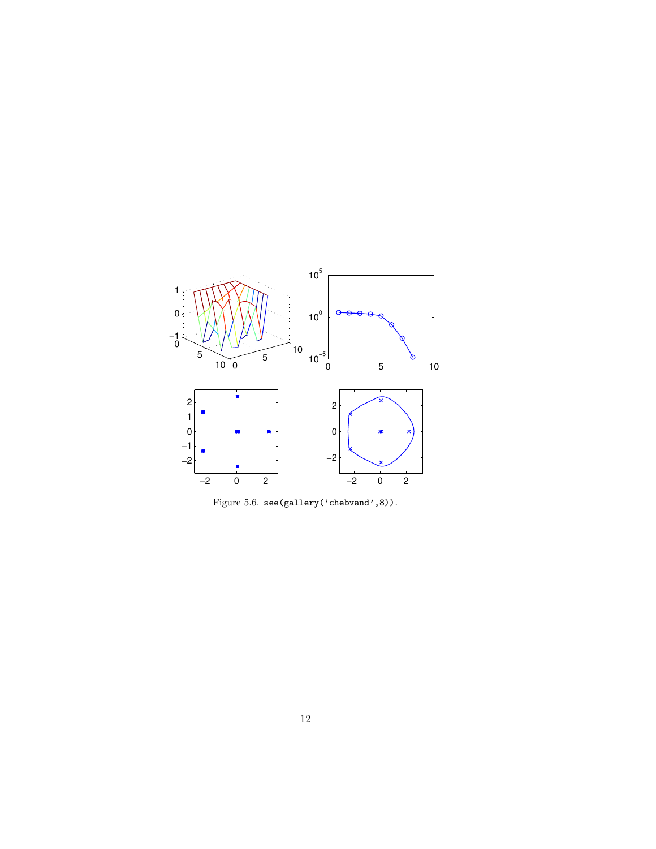

Figure 5.6. see(gallery('chebvand',8)).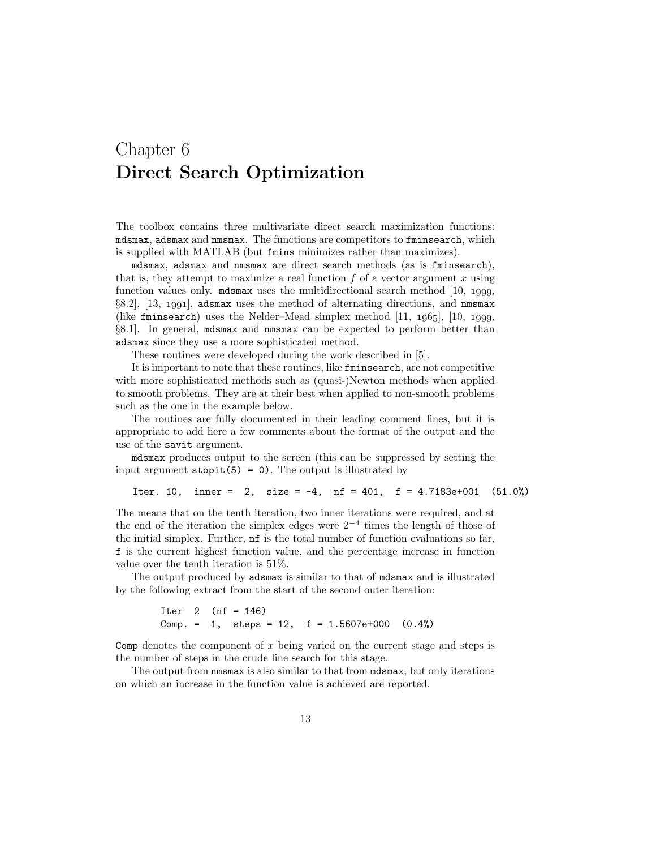#### Chapter 6 Direct Search Optimization

The toolbox contains three multivariate direct search maximization functions: mdsmax, adsmax and nmsmax. The functions are competitors to fminsearch, which is supplied with MATLAB (but fmins minimizes rather than maximizes).

mdsmax, adsmax and nmsmax are direct search methods (as is fminsearch), that is, they attempt to maximize a real function  $f$  of a vector argument  $x$  using function values only. method is the multidirectional search method  $[10, 1999,$  $\S8.2$ , [13, 1991], adsmax uses the method of alternating directions, and nmsmax (like fminsearch) uses the Nelder–Mead simplex method  $[11, 1965]$ ,  $[10, 1999]$ , §8.1]. In general, mdsmax and nmsmax can be expected to perform better than adsmax since they use a more sophisticated method.

These routines were developed during the work described in [5].

It is important to note that these routines, like fminsearch, are not competitive with more sophisticated methods such as (quasi-)Newton methods when applied to smooth problems. They are at their best when applied to non-smooth problems such as the one in the example below.

The routines are fully documented in their leading comment lines, but it is appropriate to add here a few comments about the format of the output and the use of the savit argument.

mdsmax produces output to the screen (this can be suppressed by setting the input argument  $stopit(5) = 0$ . The output is illustrated by

```
Iter. 10, inner = 2, size = -4, nf = 401, f = 4.7183e+001 (51.0%)
```
The means that on the tenth iteration, two inner iterations were required, and at the end of the iteration the simplex edges were  $2^{-4}$  times the length of those of the initial simplex. Further, nf is the total number of function evaluations so far, f is the current highest function value, and the percentage increase in function value over the tenth iteration is 51%.

The output produced by adsmax is similar to that of mdsmax and is illustrated by the following extract from the start of the second outer iteration:

> Iter 2 ( $nf = 146$ ) Comp. = 1, steps = 12,  $f = 1.5607e+000$   $(0.4%)$

Comp denotes the component of  $x$  being varied on the current stage and steps is the number of steps in the crude line search for this stage.

The output from nmsmax is also similar to that from mdsmax, but only iterations on which an increase in the function value is achieved are reported.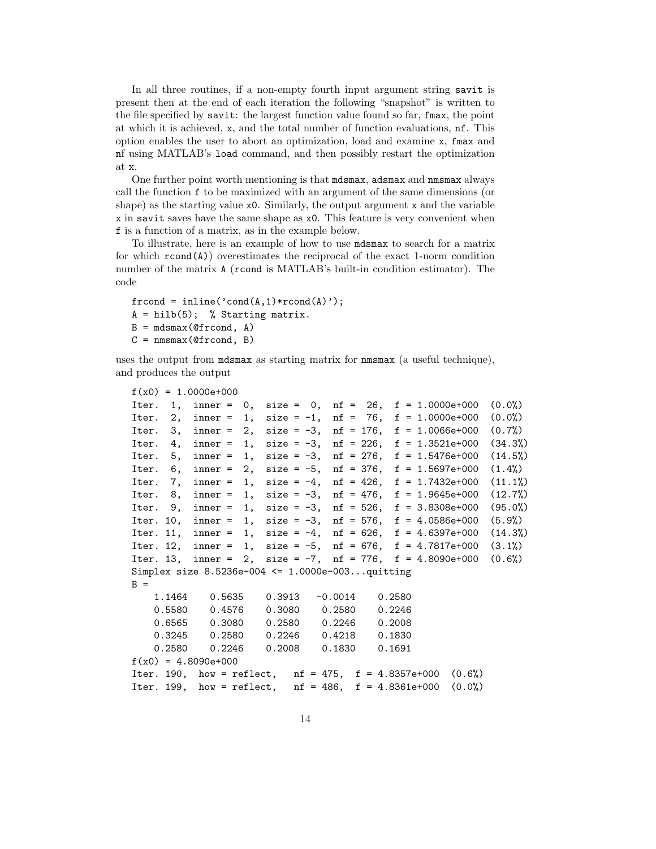In all three routines, if a non-empty fourth input argument string savit is present then at the end of each iteration the following "snapshot" is written to the file specified by savit: the largest function value found so far, fmax, the point at which it is achieved, x, and the total number of function evaluations, nf. This option enables the user to abort an optimization, load and examine x, fmax and nf using MATLAB's load command, and then possibly restart the optimization at x.

One further point worth mentioning is that mdsmax, adsmax and nmsmax always call the function f to be maximized with an argument of the same dimensions (or shape) as the starting value x0. Similarly, the output argument x and the variable x in savit saves have the same shape as x0. This feature is very convenient when f is a function of a matrix, as in the example below.

To illustrate, here is an example of how to use mdsmax to search for a matrix for which  $\texttt{rcond}(\mathbf{A})$  overestimates the reciprocal of the exact 1-norm condition number of the matrix **A** (rcond is MATLAB's built-in condition estimator). The code

```
f(1) = 1 - (c) \cdot (c) \cdot (d(A,1) * r \cdot c)A = hilb(5); % Starting matrix.
B = mdsmax(@frcond, A)C = nmsmax(@frcond, B)
```
uses the output from mdsmax as starting matrix for nmsmax (a useful technique), and produces the output

```
f(x0) = 1.0000e+000Iter. 1, inner = 0, size = 0, nf = 26, f = 1.0000e+000 (0.0%)
Iter. 2, inner = 1, size = -1, nf = 76, f = 1.0000e+000 (0.0%)Iter. 3, inner = 2, size = -3, nf = 176, f = 1.0066e+000 (0.7%)Iter. 4, inner = 1, size = -3, nf = 226, f = 1.3521e+000 (34.3%)
Iter. 5, inner = 1, size = -3, nf = 276, f = 1.5476e+000 (14.5%)
Iter. 6, inner = 2, size = -5, nf = 376, f = 1.5697e+000 (1.4%)Iter. 7, inner = 1, size = -4, nf = 426, f = 1.7432e+000 (11.1%)Iter. 8, inner = 1, size = -3, nf = 476, f = 1.9645e+000 (12.7%)Iter. 9, inner = 1, size = -3, nf = 526, f = 3.8308e+000 (95.0%)Iter. 10, inner = 1, size = -3, nf = 576, f = 4.0586e+000 (5.9%)
Iter. 11, inner = 1, size = -4, nf = 626, f = 4.6397e+000 (14.3%)Iter. 12, inner = 1, size = -5, nf = 676, f = 4.7817e+000 (3.1%)
Iter. 13, inner = 2, size = -7, nf = 776, f = 4.8090e+000 (0.6%)Simplex size 8.5236e-004 <= 1.0000e-003...quitting
B =1.1464 0.5635 0.3913 -0.0014 0.2580
   0.5580 0.4576 0.3080 0.2580 0.2246
   0.6565 0.3080 0.2580 0.2246 0.2008
   0.3245 0.2580 0.2246 0.4218 0.1830
   0.2580 0.2246 0.2008 0.1830 0.1691
f(x0) = 4.8090e+000Iter. 190, how = reflect, nf = 475, f = 4.8357e+000 (0.6%)
Iter. 199, how = reflect, nf = 486, f = 4.8361e+000 (0.0%)
```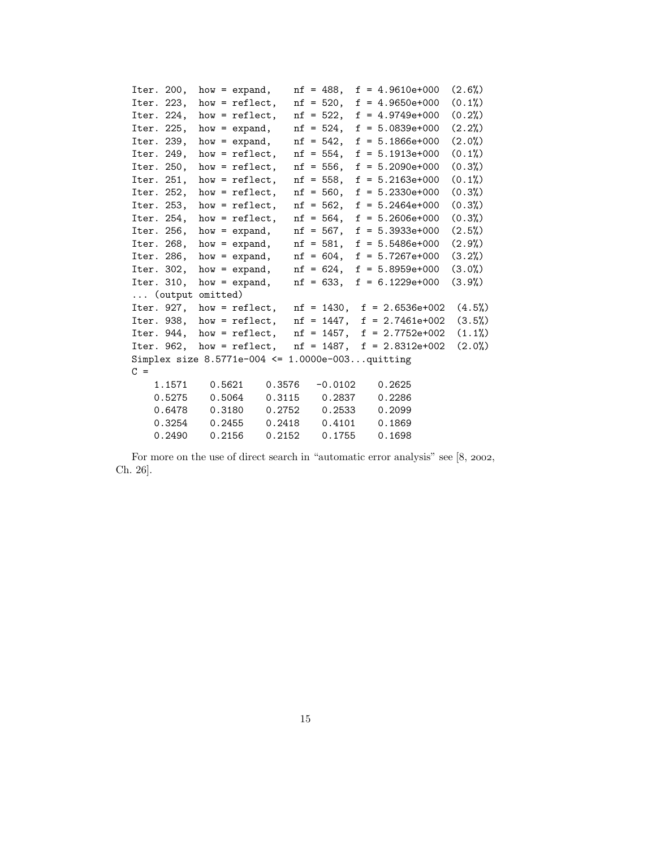| Iter. 200, |                  |  | how = $expand$ ,                                    |  | $nf = 488$ ,  |  | $f = 4.9610e+000$               | (2.6%) |
|------------|------------------|--|-----------------------------------------------------|--|---------------|--|---------------------------------|--------|
| Iter. 223, |                  |  | how = $reflect.$                                    |  | $nf = 520$ ,  |  | $f = 4.9650e+000$               | (0.1%) |
| Iter. 224, |                  |  | how = $reflect.$                                    |  | $nf = 522,$   |  | $f = 4.9749e+000$               | (0.2%) |
| Iter. 225, |                  |  | $how = expand,$                                     |  |               |  | $nf = 524$ , $f = 5.0839e+000$  | (2.2%) |
| Iter. 239, |                  |  | $how = expand,$                                     |  | $nf = 542,$   |  | $f = 5.1866e+000$               | (2.0%) |
| Iter. 249, |                  |  | how = $reflect,$                                    |  | $nf = 554,$   |  | $f = 5.1913e+000$               | (0.1%) |
| Iter. 250, |                  |  | how = $reflect.$                                    |  | $nf = 556$ ,  |  | $f = 5.2090e+000$               | (0.3%) |
| Iter. 251, |                  |  | how = $reflect.$                                    |  | $nf = 558$ ,  |  | $f = 5.2163e+000$               | (0.1%) |
| Iter. 252, |                  |  | how = $reflect.$                                    |  | $nf = 560$ ,  |  | $f = 5.2330e+000$               | (0.3%) |
| Iter. 253, |                  |  | how = $reflect.$                                    |  | $nf = 562$ ,  |  | $f = 5.2464e+000$               | (0.3%) |
| Iter. 254, |                  |  | how = $reflect.$                                    |  | $nf = 564,$   |  | $f = 5.2606e+000$               | (0.3%) |
| Iter. 256, |                  |  | $how = expand,$                                     |  | nf = 567,     |  | $f = 5.3933e+000$               | (2.5%) |
| Iter. 268, |                  |  | $how = expand,$                                     |  | $nf = 581$ ,  |  | $f = 5.5486e+000$               | (2.9%) |
| Iter. 286, |                  |  | $how = expand,$                                     |  | $nf = 604,$   |  | $f = 5.7267e+000$               | (3.2%) |
| Iter. 302, |                  |  | $how = expand,$                                     |  | $nf = 624$ ,  |  | $f = 5.8959e+000$               | (3.0%) |
| Iter. 310, |                  |  | $how = expand,$                                     |  | $nf = 633$ ,  |  | $f = 6.1229e+000$               | (3.9%) |
|            | (output omitted) |  |                                                     |  |               |  |                                 |        |
|            | Iter. 927,       |  | $how = reflect,$                                    |  |               |  | $nf = 1430$ , $f = 2.6536e+002$ | (4.5%) |
| Iter. 938, |                  |  | $how = reflect,$                                    |  | $nf = 1447,$  |  | $f = 2.7461e+002$               | (3.5%) |
| Iter. 944. |                  |  | $how = reflect,$                                    |  | $nf = 1457$ , |  | $f = 2.7752e+002$               | (1.1%) |
|            |                  |  | Iter. $962$ , how = reflect,                        |  |               |  | $nf = 1487$ , $f = 2.8312e+002$ | (2.0%) |
|            |                  |  | Simplex size $8.5771e-004 \le 1.0000e-003$ quitting |  |               |  |                                 |        |
| $C =$      |                  |  |                                                     |  |               |  |                                 |        |
|            | 1.1571           |  | 0.5621<br>0.3576                                    |  | $-0.0102$     |  | 0.2625                          |        |
|            | 0.5275           |  | 0.5064<br>0.3115                                    |  | 0.2837        |  | 0.2286                          |        |
|            | 0.6478           |  | 0.3180<br>0.2752                                    |  | 0.2533        |  | 0.2099                          |        |
|            | 0.3254           |  | 0.2455<br>0.2418                                    |  | 0.4101        |  | 0.1869                          |        |
|            | 0.2490           |  | 0.2156<br>0.2152                                    |  | 0.1755        |  | 0.1698                          |        |

For more on the use of direct search in "automatic error analysis" see  $[8, 2002,$ Ch. 26].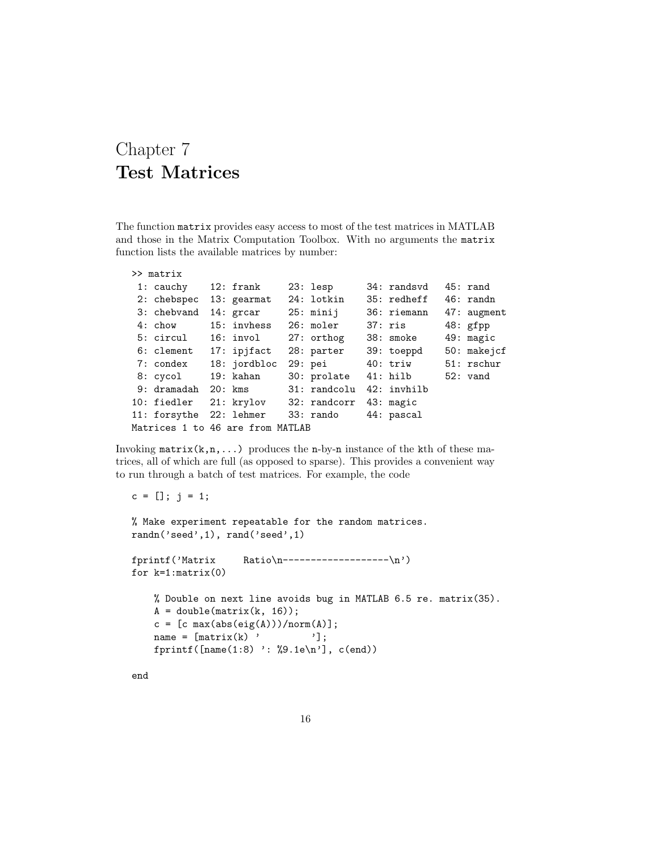#### Chapter 7 Test Matrices

The function matrix provides easy access to most of the test matrices in MATLAB and those in the Matrix Computation Toolbox. With no arguments the matrix function lists the available matrices by number:

```
>> matrix
```

| 1: cauchy 12: frank     |                                              | $23:$ lesp           | 34: randsvd | 45: rand           |
|-------------------------|----------------------------------------------|----------------------|-------------|--------------------|
| 2: chebspec 13: gearmat |                                              | 24: lotkin           | 35: redheff | $46: \text{randn}$ |
| 3: chebvand             | 14: grcar 25: minij                          |                      | 36: riemann | 47: augment        |
| 4: chow                 | 15: invhess  26: moler                       |                      | 37: ris     | 48: gfpp           |
|                         | 5: circul 16: invol 27: orthog               |                      | 38: smoke   | 49: magic          |
| 6: clement 17: ipjfact  |                                              | 28: parter           | 39: toeppd  | 50: makejcf        |
| 7: condex 18: jordbloc  |                                              | 29: pei 40: triw     |             | 51: rschur         |
| 8: cycol 19: kahan      |                                              | 30: prolate 41: hilb |             | 52: vand           |
|                         | 9: dramadah 20: kms 31: randcolu             |                      | 42: invhilb |                    |
|                         | 10: fiedler 21: krylov 32: randcorr          |                      | 43: magic   |                    |
|                         | 11: forsythe 22: lehmer 33: rando 44: pascal |                      |             |                    |
|                         | Matrices 1 to 46 are from MATLAB             |                      |             |                    |

Invoking  $\text{matrix}(k,n,\ldots)$  produces the n-by-n instance of the kth of these matrices, all of which are full (as opposed to sparse). This provides a convenient way to run through a batch of test matrices. For example, the code

 $c = []$ ;  $j = 1$ ;

% Make experiment repeatable for the random matrices. randn('seed',1), rand('seed',1)

```
fprintf('Matrix Ratio\n-------------------\n')
for k=1:matrix(0)
```

```
% Double on next line avoids bug in MATLAB 6.5 re. matrix(35).
A = double(matrix(k, 16));c = [c \max(abs(eig(A)))/norm(A)];name = [matrix(k) ' '];
fprintf([name(1:8) ': %9.1e\n'], c(end))
```
end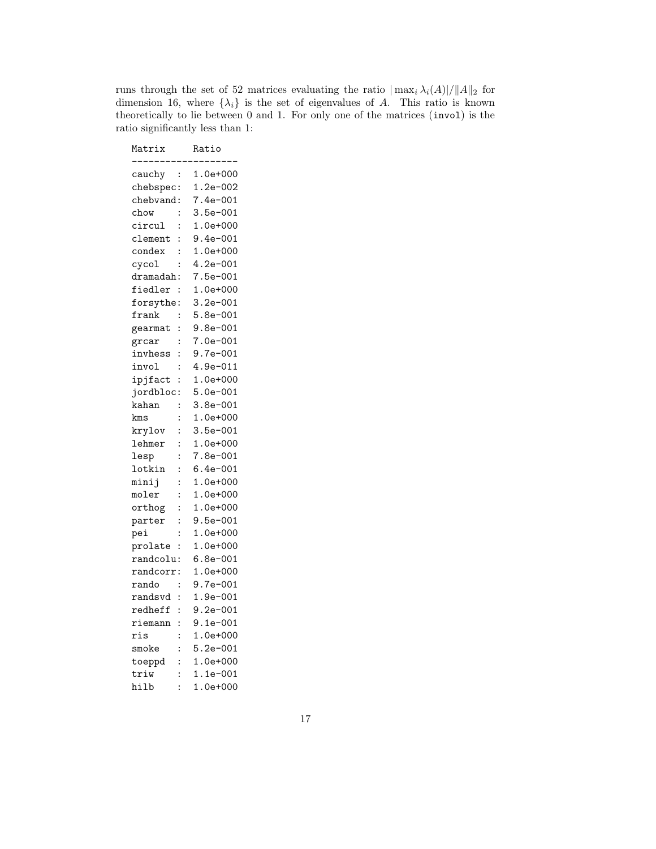runs through the set of 52 matrices evaluating the ratio  $|\max_i \lambda_i(A)|/||A||_2$  for dimension 16, where  $\{\lambda_i\}$  is the set of eigenvalues of A. This ratio is known theoretically to lie between 0 and 1. For only one of the matrices (invol) is the ratio significantly less than 1:

| Matrix    |                | Ratio                |
|-----------|----------------|----------------------|
| cauchy    | $\vdots$       | $1.0e + 000$         |
| chebspec: |                | $1.2e - 002$         |
| chebvand: |                | $7.4e-001$           |
| chow      | $\ddot{\cdot}$ | $3.5e - 001$         |
| circul    | $\ddot{\cdot}$ | $1.0e + 000$         |
| clement   | $\ddot{\cdot}$ | $9.4e - 001$         |
| condex    | $\ddot{\cdot}$ | $1.0e + 000$         |
| cycol     | $\ddot{\cdot}$ | $4.2e - 001$         |
| dramadah: |                | $7.5e - 001$         |
| fiedler   | $\vdots$       | $1.0e + 000$         |
| forsythe  | $\ddot{\cdot}$ | $3.2e - 001$         |
| frank     | $\ddot{\cdot}$ | $5.8e - 001$         |
| gearmat   | $\ddot{\cdot}$ | $9.8e - 001$         |
| grcar     | $\ddot{\cdot}$ | $7.0e - 001$         |
| invhess   | $\ddot{\cdot}$ | .<br>9.7e-001        |
| invol     | $\ddot{\cdot}$ | $4.9e - 011$         |
| ipjfact   | $\vdots$       | $1.0e + 000$         |
| jordbloc  | $\vdots$       | $5.0e - 001$         |
| kahan     | $\colon$       | $3.8e - 001$         |
| kms       | $\ddot{\cdot}$ | $1.0e + 000$         |
| krylov    | $\ddot{\cdot}$ | $3.5e - 001$         |
| lehmer    | $\ddot{\cdot}$ | $1.0e + 000$         |
| lesp      | $\ddot{\cdot}$ | 7.8e-001             |
| lotkin    | $\ddot{\cdot}$ | $6.4e - 001$         |
| minij     | $\ddot{\cdot}$ | $1.0e + 000$         |
| moler     | $\ddot{\cdot}$ | $1.0e+000$           |
| orthog    | $\vdots$       | $1.0e + 000$         |
| parter    | $\ddot{\cdot}$ | $9.5e - 001$         |
| pei       | $\colon$       | $1.0e + 000$         |
| prolate   | $\ddot{\cdot}$ | $1.0e + 000$         |
| randcolu: |                | $6.8e - 001$         |
| randcorr: |                | $1.0e + 000$         |
| rando     | $\ddot{\cdot}$ | $9.7e - 001$         |
| randsvd   | $\ddot{\cdot}$ | $1.9e - 001$         |
| redheff   | $\vdots$       | ---- ---<br>9.2e-001 |
| riemann   | $\colon$       | $9.1e - 001$         |
| ris       | $\ddot{\cdot}$ | $1.0e + 000$         |
| smoke     | $\ddot{\cdot}$ | $5.2e - 001$         |
| toeppd    | $\ddot{\cdot}$ | $1.0e + 000$         |
| triw      | $\ddot{\cdot}$ | $1.1e-001$           |
| hilb      | $\ddot{\cdot}$ | $1.0e + 000$         |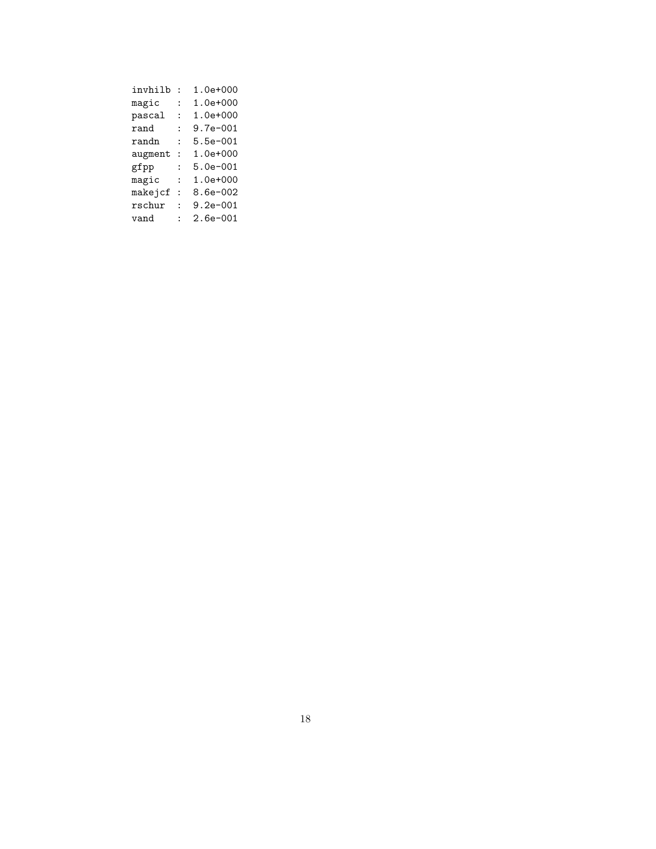| invhilb |                      | $1.0e + 000$ |
|---------|----------------------|--------------|
| magic   | ÷                    | $1.0e + 000$ |
| pascal  | ٠                    | $1.0e + 000$ |
| rand    |                      | $9.7e - 001$ |
| randn   | $\ddot{\cdot}$       | $5.5e - 001$ |
| augment | $\ddot{\phantom{a}}$ | $1.0e + 000$ |
| gfpp    | $\ddot{\cdot}$       | $5.0e - 001$ |
| magic   | ٠                    | $1.0e + 000$ |
| makejcf |                      | 8.6e-002     |
| rschur  |                      | $9.2e - 001$ |
| vand    |                      | $2.6e - 001$ |